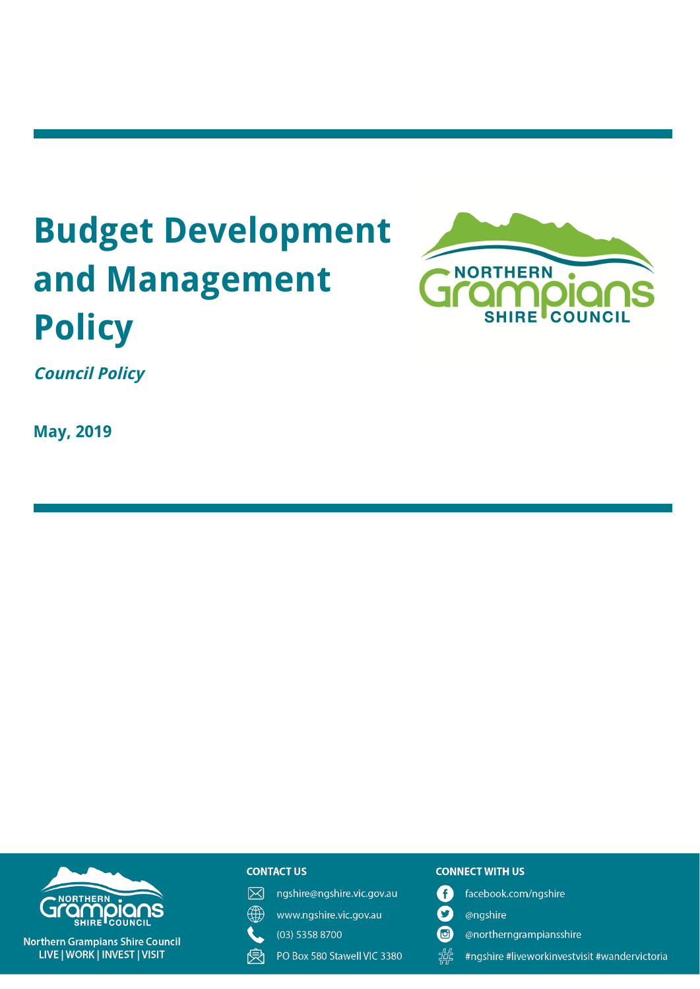# **Budget Development and Management Policy**



**Council Policy**

**May, 2019**



#### **CONTACT US**

- 冈 ngshire@ngshire.vic.gov.au
- ∰ www.ngshire.vic.gov.au

(03) 5358 8700

受 PO Box 580 Stawell VIC 3380

#### **CONNECT WITH US**

- A facebook.com/ngshire
- $\boldsymbol{\Omega}$ @ngshire
- $\mathbf G$ @northerngrampiansshire
- 带 #ngshire #liveworkinvestvisit #wandervictoria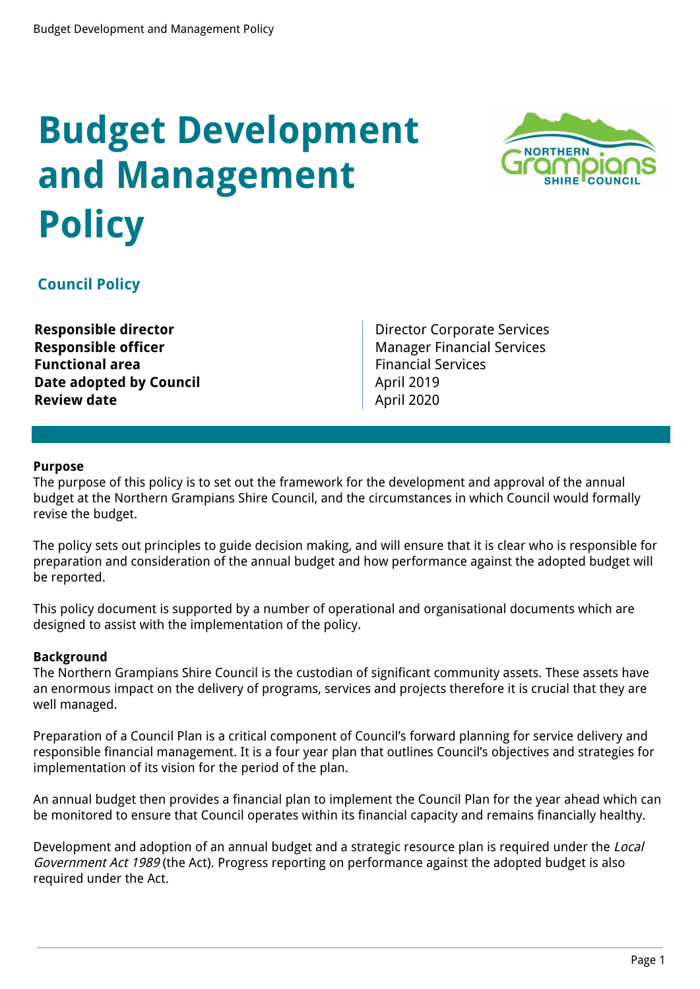# **Budget Development and Management Policy**



## **Council Policy**

**Functional area Functional Area Financial Services Date adopted by Council April 2019 Review date** April 2020

**Responsible director Director Director Corporate Services Responsible officer** Manager Financial Services

### **Purpose**

The purpose of this policy is to set out the framework for the development and approval of the annual budget at the Northern Grampians Shire Council, and the circumstances in which Council would formally revise the budget.

The policy sets out principles to guide decision making, and will ensure that it is clear who is responsible for preparation and consideration of the annual budget and how performance against the adopted budget will be reported.

This policy document is supported by a number of operational and organisational documents which are designed to assist with the implementation of the policy.

#### **Background**

The Northern Grampians Shire Council is the custodian of significant community assets. These assets have an enormous impact on the delivery of programs, services and projects therefore it is crucial that they are well managed.

Preparation of a Council Plan is a critical component of Council's forward planning for service delivery and responsible financial management. It is a four year plan that outlines Council's objectives and strategies for implementation of its vision for the period of the plan.

An annual budget then provides a financial plan to implement the Council Plan for the year ahead which can be monitored to ensure that Council operates within its financial capacity and remains financially healthy.

Development and adoption of an annual budget and a strategic resource plan is required under the Local Government Act 1989 (the Act). Progress reporting on performance against the adopted budget is also required under the Act.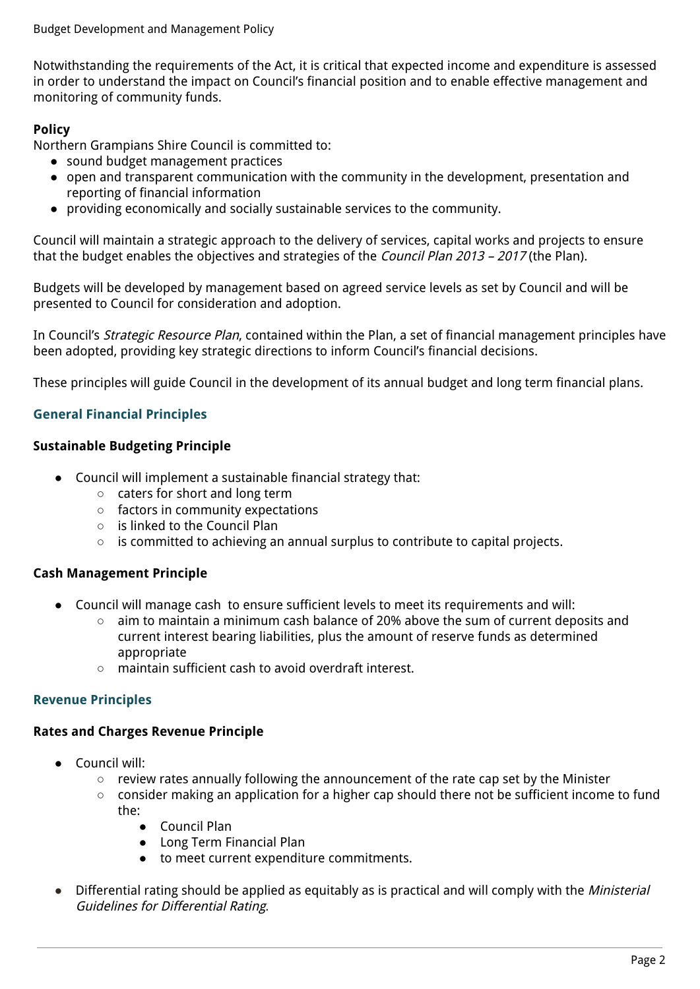Budget Development and Management Policy

Notwithstanding the requirements of the Act, it is critical that expected income and expenditure is assessed in order to understand the impact on Council's financial position and to enable effective management and monitoring of community funds.

## **Policy**

Northern Grampians Shire Council is committed to:

- sound budget management practices
- open and transparent communication with the community in the development, presentation and reporting of financial information
- providing economically and socially sustainable services to the community.

Council will maintain a strategic approach to the delivery of services, capital works and projects to ensure that the budget enables the objectives and strategies of the *Council Plan 2013 - 2017* (the Plan).

Budgets will be developed by management based on agreed service levels as set by Council and will be presented to Council for consideration and adoption.

In Council's *Strategic Resource Plan*, contained within the Plan, a set of financial management principles have been adopted, providing key strategic directions to inform Council's financial decisions.

These principles will guide Council in the development of its annual budget and long term financial plans.

## **General Financial Principles**

## **Sustainable Budgeting Principle**

- Council will implement a sustainable financial strategy that:
	- caters for short and long term
	- factors in community expectations
	- is linked to the Council Plan
	- is committed to achieving an annual surplus to contribute to capital projects.

## **Cash Management Principle**

- Council will manage cash to ensure sufficient levels to meet its requirements and will:
	- aim to maintain a minimum cash balance of 20% above the sum of current deposits and current interest bearing liabilities, plus the amount of reserve funds as determined appropriate
	- maintain sufficient cash to avoid overdraft interest.

## **Revenue Principles**

### **Rates and Charges Revenue Principle**

- Council will:
	- review rates annually following the announcement of the rate cap set by the Minister
	- consider making an application for a higher cap should there not be sufficient income to fund the:
		- Council Plan
		- Long Term Financial Plan
		- to meet current expenditure commitments.
- Differential rating should be applied as equitably as is practical and will comply with the *Ministerial* Guidelines for Differential Rating.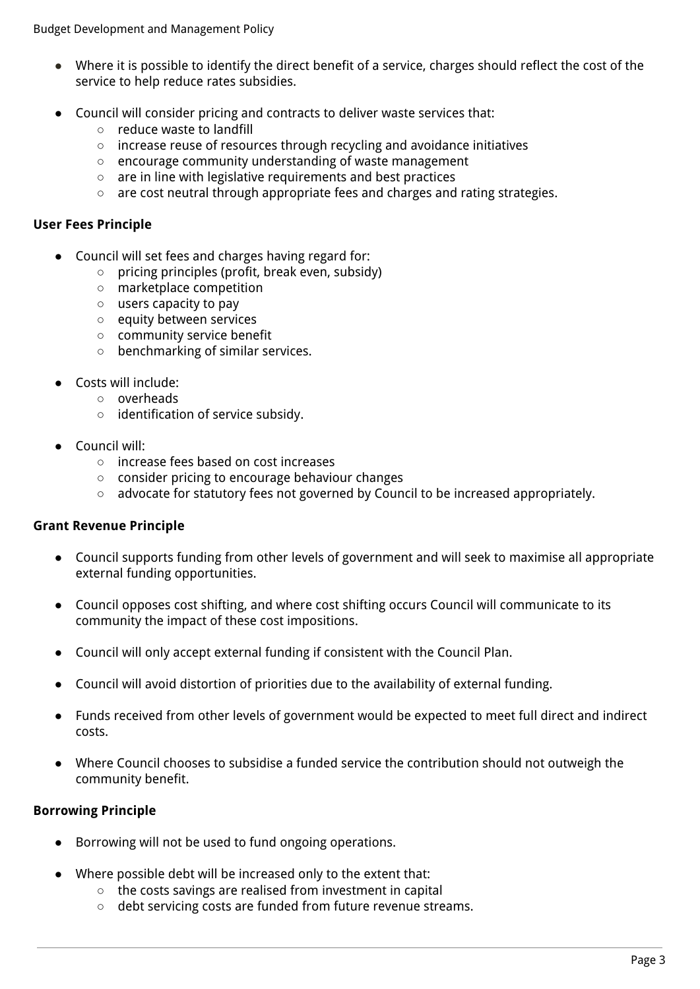- Where it is possible to identify the direct benefit of a service, charges should reflect the cost of the service to help reduce rates subsidies.
- Council will consider pricing and contracts to deliver waste services that:
	- reduce waste to landfill
	- increase reuse of resources through recycling and avoidance initiatives
	- encourage community understanding of waste management
	- are in line with legislative requirements and best practices
	- are cost neutral through appropriate fees and charges and rating strategies.

## **User Fees Principle**

- **●** Council will set fees and charges having regard for:
	- **○** pricing principles (profit, break even, subsidy)
	- **○** marketplace competition
	- **○** users capacity to pay
	- **○** equity between services
	- **○** community service benefit
	- **○** benchmarking of similar services.
- Costs will include:
	- overheads
	- identification of service subsidy.
- Council will:
	- **○** increase fees based on cost increases
	- **○** consider pricing to encourage behaviour changes
	- **○** advocate for statutory fees not governed by Council to be increased appropriately.

## **Grant Revenue Principle**

- Council supports funding from other levels of government and will seek to maximise all appropriate external funding opportunities.
- Council opposes cost shifting, and where cost shifting occurs Council will communicate to its community the impact of these cost impositions.
- Council will only accept external funding if consistent with the Council Plan.
- Council will avoid distortion of priorities due to the availability of external funding.
- Funds received from other levels of government would be expected to meet full direct and indirect costs.
- Where Council chooses to subsidise a funded service the contribution should not outweigh the community benefit.

## **Borrowing Principle**

- Borrowing will not be used to fund ongoing operations.
- Where possible debt will be increased only to the extent that:
	- the costs savings are realised from investment in capital
	- debt servicing costs are funded from future revenue streams.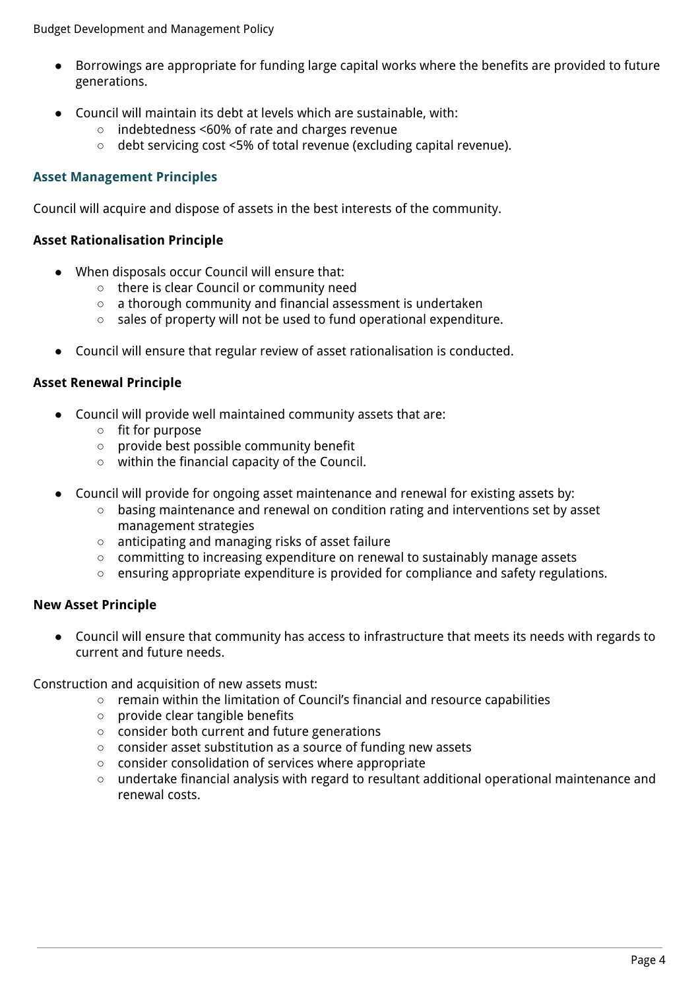- Borrowings are appropriate for funding large capital works where the benefits are provided to future generations.
- Council will maintain its debt at levels which are sustainable, with:
	- indebtedness <60% of rate and charges revenue
	- debt servicing cost <5% of total revenue (excluding capital revenue).

## **Asset Management Principles**

Council will acquire and dispose of assets in the best interests of the community.

### **Asset Rationalisation Principle**

- When disposals occur Council will ensure that:
	- there is clear Council or community need
	- a thorough community and financial assessment is undertaken
	- sales of property will not be used to fund operational expenditure.
- Council will ensure that regular review of asset rationalisation is conducted.

#### **Asset Renewal Principle**

- Council will provide well maintained community assets that are:
	- fit for purpose
	- provide best possible community benefit
	- within the financial capacity of the Council.
- Council will provide for ongoing asset maintenance and renewal for existing assets by:
	- basing maintenance and renewal on condition rating and interventions set by asset management strategies
	- anticipating and managing risks of asset failure
	- committing to increasing expenditure on renewal to sustainably manage assets
	- ensuring appropriate expenditure is provided for compliance and safety regulations.

### **New Asset Principle**

● Council will ensure that community has access to infrastructure that meets its needs with regards to current and future needs.

Construction and acquisition of new assets must:

- remain within the limitation of Council's financial and resource capabilities
- provide clear tangible benefits
- consider both current and future generations
- consider asset substitution as a source of funding new assets
- consider consolidation of services where appropriate
- undertake financial analysis with regard to resultant additional operational maintenance and renewal costs.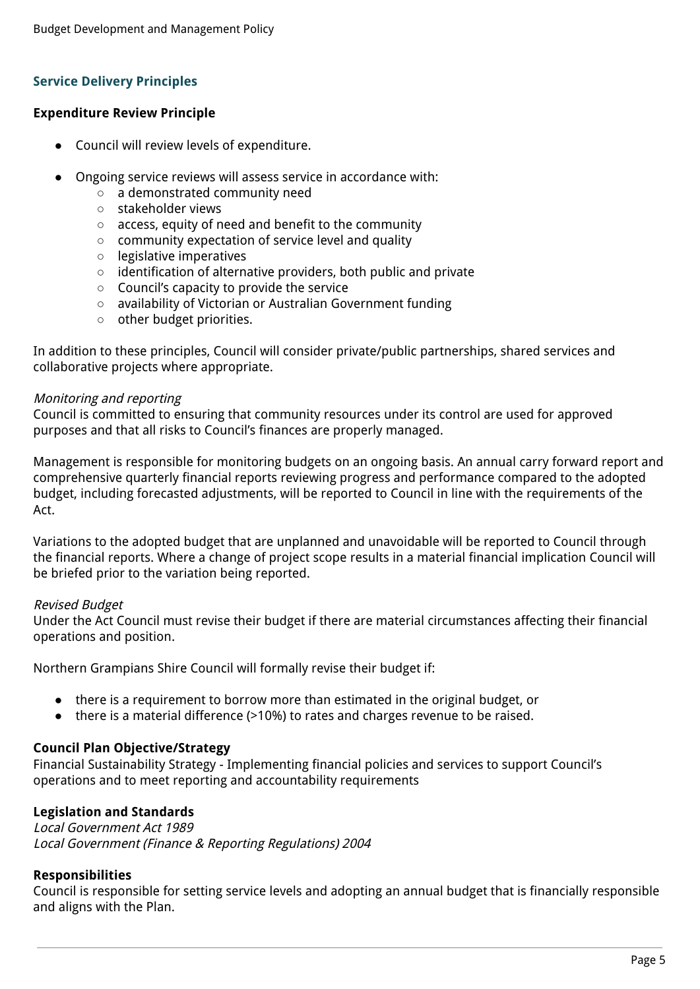## **Service Delivery Principles**

#### **Expenditure Review Principle**

- Council will review levels of expenditure.
- Ongoing service reviews will assess service in accordance with:
	- a demonstrated community need
	- stakeholder views
	- access, equity of need and benefit to the community
	- community expectation of service level and quality
	- legislative imperatives
	- identification of alternative providers, both public and private
	- Council's capacity to provide the service
	- availability of Victorian or Australian Government funding
	- other budget priorities.

In addition to these principles, Council will consider private/public partnerships, shared services and collaborative projects where appropriate.

#### Monitoring and reporting

Council is committed to ensuring that community resources under its control are used for approved purposes and that all risks to Council's finances are properly managed.

Management is responsible for monitoring budgets on an ongoing basis. An annual carry forward report and comprehensive quarterly financial reports reviewing progress and performance compared to the adopted budget, including forecasted adjustments, will be reported to Council in line with the requirements of the Act.

Variations to the adopted budget that are unplanned and unavoidable will be reported to Council through the financial reports. Where a change of project scope results in a material financial implication Council will be briefed prior to the variation being reported.

#### Revised Budget

Under the Act Council must revise their budget if there are material circumstances affecting their financial operations and position.

Northern Grampians Shire Council will formally revise their budget if:

- there is a requirement to borrow more than estimated in the original budget, or
- there is a material difference (>10%) to rates and charges revenue to be raised.

### **Council Plan Objective/Strategy**

Financial Sustainability Strategy - Implementing financial policies and services to support Council's operations and to meet reporting and accountability requirements

### **Legislation and Standards**

Local Government Act 1989 Local Government (Finance & Reporting Regulations) 2004

### **Responsibilities**

Council is responsible for setting service levels and adopting an annual budget that is financially responsible and aligns with the Plan.